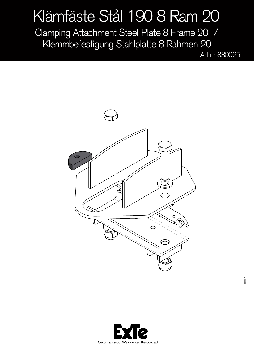## Klämfäste Stål 190 8 Ram 20

Clamping Attachment Steel Plate 8 Frame 20 / Klemmbefestigung Stahlplatte 8 Rahmen 20

Art.nr 830025